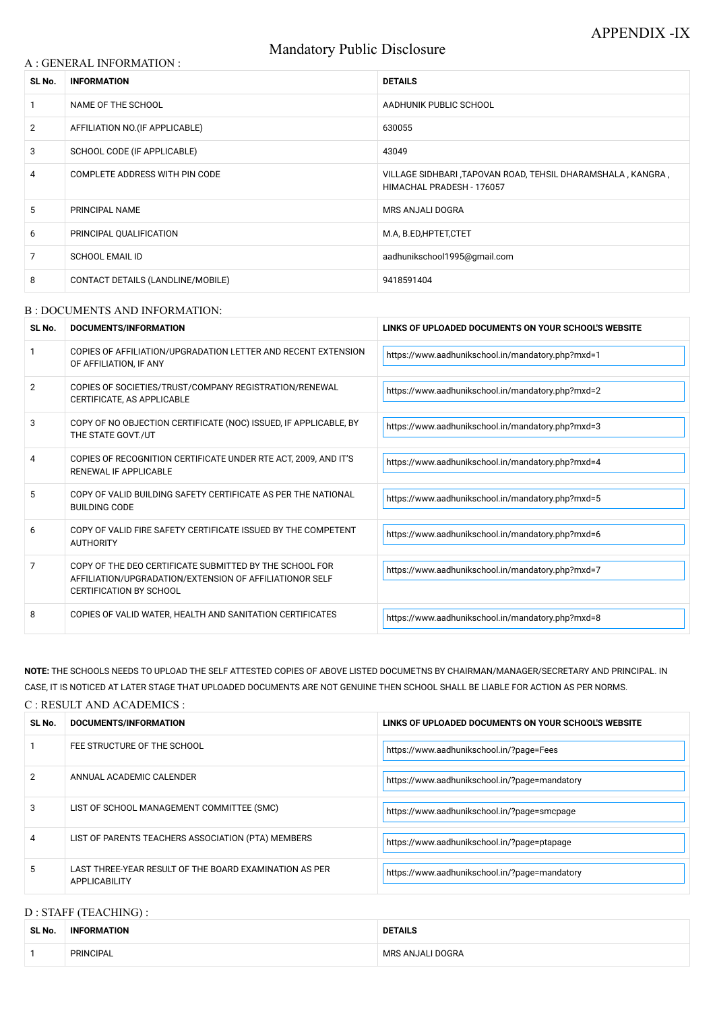# Mandatory Public Disclosure

#### A : GENERAL INFORMATION :

| SL No.         | <b>INFORMATION</b>                | <b>DETAILS</b>                                                                           |  |
|----------------|-----------------------------------|------------------------------------------------------------------------------------------|--|
|                | NAME OF THE SCHOOL                | AADHUNIK PUBLIC SCHOOL                                                                   |  |
| $\overline{2}$ | AFFILIATION NO. (IF APPLICABLE)   | 630055                                                                                   |  |
| 3              | SCHOOL CODE (IF APPLICABLE)       | 43049                                                                                    |  |
| 4              | COMPLETE ADDRESS WITH PIN CODE    | VILLAGE SIDHBARI, TAPOVAN ROAD, TEHSIL DHARAMSHALA, KANGRA,<br>HIMACHAL PRADESH - 176057 |  |
| 5              | PRINCIPAL NAME                    | MRS ANJALI DOGRA                                                                         |  |
| 6              | PRINCIPAL QUALIFICATION           | M.A, B.ED, HPTET, CTET                                                                   |  |
| 7              | <b>SCHOOL EMAIL ID</b>            | aadhunikschool1995@gmail.com                                                             |  |
| 8              | CONTACT DETAILS (LANDLINE/MOBILE) | 9418591404                                                                               |  |

#### B : DOCUMENTS AND INFORMATION:

| SL No.         | <b>DOCUMENTS/INFORMATION</b>                                                                                                                         | LINKS OF UPLOADED DOCUMENTS ON YOUR SCHOOL'S WEBSITE |  |
|----------------|------------------------------------------------------------------------------------------------------------------------------------------------------|------------------------------------------------------|--|
|                | COPIES OF AFFILIATION/UPGRADATION LETTER AND RECENT EXTENSION<br>OF AFFILIATION, IF ANY                                                              | https://www.aadhunikschool.in/mandatory.php?mxd=1    |  |
| $\overline{2}$ | COPIES OF SOCIETIES/TRUST/COMPANY REGISTRATION/RENEWAL<br>CERTIFICATE, AS APPLICABLE                                                                 | https://www.aadhunikschool.in/mandatory.php?mxd=2    |  |
| 3              | COPY OF NO OBJECTION CERTIFICATE (NOC) ISSUED, IF APPLICABLE, BY<br>THE STATE GOVT./UT                                                               | https://www.aadhunikschool.in/mandatory.php?mxd=3    |  |
| 4              | COPIES OF RECOGNITION CERTIFICATE UNDER RTE ACT, 2009, AND IT'S<br>RENEWAL IF APPLICABLE                                                             | https://www.aadhunikschool.in/mandatory.php?mxd=4    |  |
| 5              | COPY OF VALID BUILDING SAFETY CERTIFICATE AS PER THE NATIONAL<br><b>BUILDING CODE</b>                                                                | https://www.aadhunikschool.in/mandatory.php?mxd=5    |  |
| 6              | COPY OF VALID FIRE SAFETY CERTIFICATE ISSUED BY THE COMPETENT<br><b>AUTHORITY</b>                                                                    | https://www.aadhunikschool.in/mandatory.php?mxd=6    |  |
| 7              | COPY OF THE DEO CERTIFICATE SUBMITTED BY THE SCHOOL FOR<br>AFFILIATION/UPGRADATION/EXTENSION OF AFFILIATIONOR SELF<br><b>CERTIFICATION BY SCHOOL</b> | https://www.aadhunikschool.in/mandatory.php?mxd=7    |  |
| 8              | COPIES OF VALID WATER, HEALTH AND SANITATION CERTIFICATES                                                                                            | https://www.aadhunikschool.in/mandatory.php?mxd=8    |  |

| $\overline{2}$ | ANNUAL ACADEMIC CALENDER                                                       | https://www.aadhunikschool.in/?page=mandatory |
|----------------|--------------------------------------------------------------------------------|-----------------------------------------------|
| 3              | LIST OF SCHOOL MANAGEMENT COMMITTEE (SMC)                                      | https://www.aadhunikschool.in/?page=smcpage   |
| $\overline{4}$ | LIST OF PARENTS TEACHERS ASSOCIATION (PTA) MEMBERS                             | https://www.aadhunikschool.in/?page=ptapage   |
| 5              | LAST THREE-YEAR RESULT OF THE BOARD EXAMINATION AS PER<br><b>APPLICABILITY</b> | https://www.aadhunikschool.in/?page=mandatory |

**NOTE:** THE SCHOOLS NEEDS TO UPLOAD THE SELF ATTESTED COPIES OF ABOVE LISTED DOCUMETNS BY CHAIRMAN/MANAGER/SECRETARY AND PRINCIPAL. IN CASE, IT IS NOTICED AT LATER STAGE THAT UPLOADED DOCUMENTS ARE NOT GENUINE THEN SCHOOL SHALL BE LIABLE FOR ACTION AS PER NORMS.

| C : RESULT AND ACADEMICS : |  |
|----------------------------|--|
|----------------------------|--|

| SL No. | DOCUMENTS/INFORMATION       | LINKS OF UPLOADED DOCUMENTS ON YOUR SCHOOL'S WEBSITE |
|--------|-----------------------------|------------------------------------------------------|
|        | FEE STRUCTURE OF THE SCHOOL | https://www.aadhunikschool.in/?page=Fees             |

# D : STAFF (TEACHING) :

| SL No. | <b>INFORMATION</b> | <b>DETAILS</b>   |
|--------|--------------------|------------------|
|        | PRINCIPAL          | MRS ANJALI DOGRA |